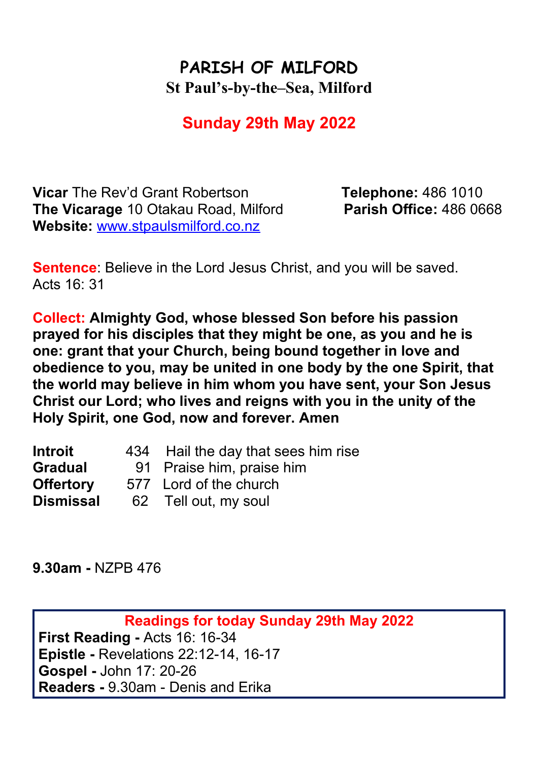# **PARISH OF MILFORD St Paul's-by-the–Sea, Milford**

## **Sunday 29th May 2022**

**Vicar** The Rev'd Grant Robertson **Telephone:** 486 1010 **The Vicarage** 10 Otakau Road, Milford **Parish Office:** 486 0668 **Website:** [www.stpaulsmilford.co.nz](http://www.stpaulsmilford.co.nz/)

**Sentence**: Believe in the Lord Jesus Christ, and you will be saved. Acts 16: 31

**Collect: Almighty God, whose blessed Son before his passion prayed for his disciples that they might be one, as you and he is one: grant that your Church, being bound together in love and obedience to you, may be united in one body by the one Spirit, that the world may believe in him whom you have sent, your Son Jesus Christ our Lord; who lives and reigns with you in the unity of the Holy Spirit, one God, now and forever. Amen**

| <b>Introit</b>   | 434 Hail the day that sees him rise |
|------------------|-------------------------------------|
| <b>Gradual</b>   | 91 Praise him, praise him           |
| <b>Offertory</b> | 577 Lord of the church              |
| <b>Dismissal</b> | 62 Tell out, my soul                |

**9.30am -** NZPB 476

**Readings for today Sunday 29th May 2022 First Reading -** Acts 16: 16-34 **Epistle -** Revelations 22:12-14, 16-17 **Gospel -** John 17: 20-26 **Readers -** 9.30am - Denis and Erika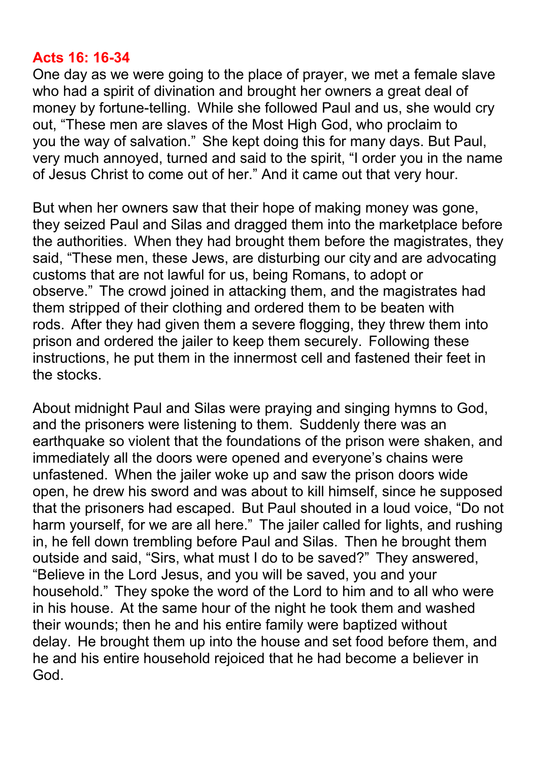### **Acts 16: 16-34**

One day as we were going to the place of prayer, we met a female slave who had a spirit of divination and brought her owners a great deal of money by fortune-telling. While she followed Paul and us, she would cry out, "These men are slaves of the Most High God, who proclaim to you the way of salvation." She kept doing this for many days. But Paul, very much annoyed, turned and said to the spirit, "I order you in the name of Jesus Christ to come out of her." And it came out that very hour.

But when her owners saw that their hope of making money was gone, they seized Paul and Silas and dragged them into the marketplace before the authorities. When they had brought them before the magistrates, they said, "These men, these Jews, are disturbing our city and are advocating customs that are not lawful for us, being Romans, to adopt or observe." The crowd joined in attacking them, and the magistrates had them stripped of their clothing and ordered them to be beaten with rods. After they had given them a severe flogging, they threw them into prison and ordered the jailer to keep them securely. Following these instructions, he put them in the innermost cell and fastened their feet in the stocks.

About midnight Paul and Silas were praying and singing hymns to God, and the prisoners were listening to them. Suddenly there was an earthquake so violent that the foundations of the prison were shaken, and immediately all the doors were opened and everyone's chains were unfastened. When the jailer woke up and saw the prison doors wide open, he drew his sword and was about to kill himself, since he supposed that the prisoners had escaped. But Paul shouted in a loud voice, "Do not harm yourself, for we are all here." The jailer called for lights, and rushing in, he fell down trembling before Paul and Silas. Then he brought them outside and said, "Sirs, what must I do to be saved?" They answered, "Believe in the Lord Jesus, and you will be saved, you and your household." They spoke the word of the Lord to him and to all who were in his house. At the same hour of the night he took them and washed their wounds; then he and his entire family were baptized without delay. He brought them up into the house and set food before them, and he and his entire household rejoiced that he had become a believer in God.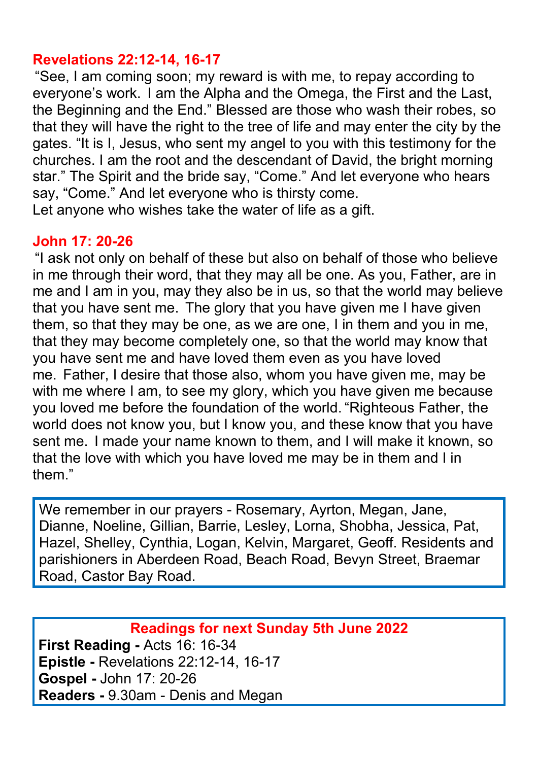#### **Revelations 22:12-14, 16-17**

"See, I am coming soon; my reward is with me, to repay according to everyone's work. I am the Alpha and the Omega, the First and the Last, the Beginning and the End." Blessed are those who wash their robes, so that they will have the right to the tree of life and may enter the city by the gates. "It is I, Jesus, who sent my angel to you with this testimony for the churches. I am the root and the descendant of David, the bright morning star." The Spirit and the bride say, "Come." And let everyone who hears say, "Come." And let everyone who is thirsty come. Let anyone who wishes take the water of life as a gift.

#### **John 17: 20-26**

"I ask not only on behalf of these but also on behalf of those who believe in me through their word, that they may all be one. As you, Father, are in me and I am in you, may they also be in us, so that the world may believe that you have sent me. The glory that you have given me I have given them, so that they may be one, as we are one, I in them and you in me, that they may become completely one, so that the world may know that you have sent me and have loved them even as you have loved me. Father, I desire that those also, whom you have given me, may be with me where I am, to see my glory, which you have given me because you loved me before the foundation of the world. "Righteous Father, the world does not know you, but I know you, and these know that you have sent me. I made your name known to them, and I will make it known, so that the love with which you have loved me may be in them and I in them."

We remember in our prayers - Rosemary, Ayrton, Megan, Jane, Dianne, Noeline, Gillian, Barrie, Lesley, Lorna, Shobha, Jessica, Pat, Hazel, Shelley, Cynthia, Logan, Kelvin, Margaret, Geoff. Residents and parishioners in Aberdeen Road, Beach Road, Bevyn Street, Braemar Road, Castor Bay Road.

**Readings for next Sunday 5th June 2022 First Reading -** Acts 16: 16-34 **Epistle -** Revelations 22:12-14, 16-17 **Gospel -** John 17: 20-26 **Readers -** 9.30am - Denis and Megan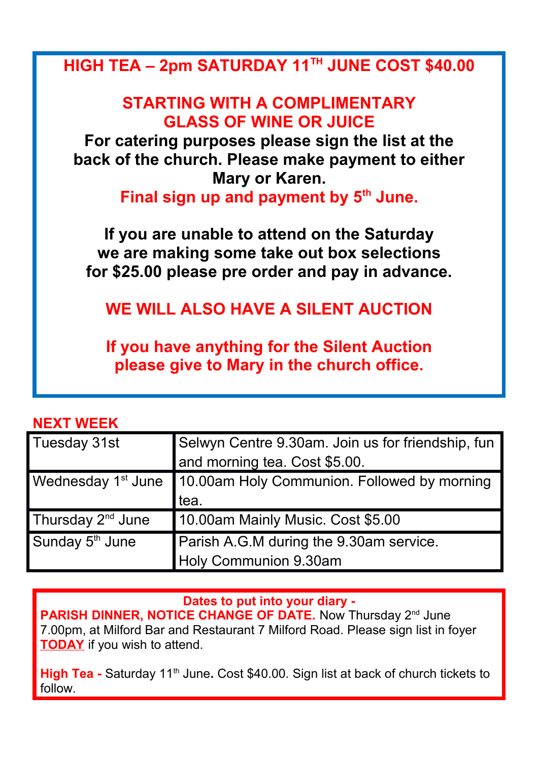**HIGH TEA – 2pm SATURDAY 11TH JUNE COST \$40.00**

### **STARTING WITH A COMPLIMENTARY GLASS OF WINE OR JUICE**

**For catering purposes please sign the list at the back of the church. Please make payment to either Mary or Karen.**

**Final sign up and payment by 5th June.**

**If you are unable to attend on the Saturday we are making some take out box selections for \$25.00 please pre order and pay in advance.**

**WE WILL ALSO HAVE A SILENT AUCTION**

**If you have anything for the Silent Auction please give to Mary in the church office.**

#### **NEXT WEEK**

| Tuesday 31st                   | Selwyn Centre 9.30am. Join us for friendship, fun |  |
|--------------------------------|---------------------------------------------------|--|
|                                | and morning tea. Cost \$5.00.                     |  |
| Wednesday 1 <sup>st</sup> June | 10.00am Holy Communion. Followed by morning       |  |
|                                | tea.                                              |  |
| Thursday 2 <sup>nd</sup> June  | 10.00am Mainly Music. Cost \$5.00                 |  |
| Sunday 5 <sup>th</sup> June    | Parish A.G.M during the 9.30am service.           |  |
|                                | Holy Communion 9.30am                             |  |

**Dates to put into your diary -**

**PARISH DINNER, NOTICE CHANGE OF DATE.** Now Thursday 2<sup>nd</sup> June 7.00pm, at Milford Bar and Restaurant 7 Milford Road. Please sign list in foyer **TODAY** if you wish to attend.

High Tea - Saturday 11<sup>th</sup> June. Cost \$40.00. Sign list at back of church tickets to follow.